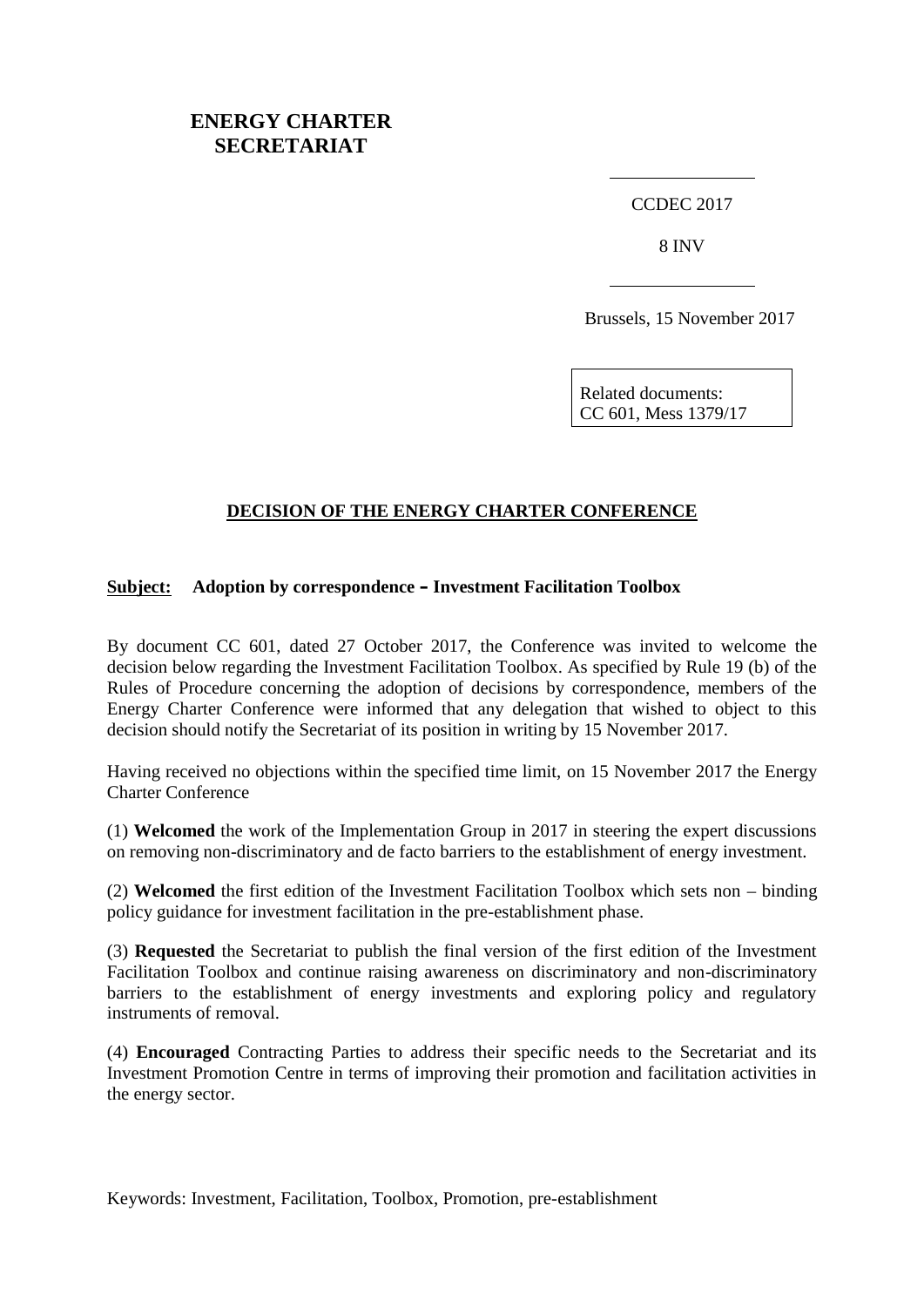## **ENERGY CHARTER SECRETARIAT**

CCDEC 2017

8 INV

Brussels, 15 November 2017

Related documents: CC 601, Mess 1379/17

#### **DECISION OF THE ENERGY CHARTER CONFERENCE**

#### **Subject: Adoption by correspondence – Investment Facilitation Toolbox**

By document CC 601, dated 27 October 2017, the Conference was invited to welcome the decision below regarding the Investment Facilitation Toolbox. As specified by Rule 19 (b) of the Rules of Procedure concerning the adoption of decisions by correspondence, members of the Energy Charter Conference were informed that any delegation that wished to object to this decision should notify the Secretariat of its position in writing by 15 November 2017.

Having received no objections within the specified time limit, on 15 November 2017 the Energy Charter Conference

(1) **Welcomed** the work of the Implementation Group in 2017 in steering the expert discussions on removing non-discriminatory and de facto barriers to the establishment of energy investment.

(2) **Welcomed** the first edition of the Investment Facilitation Toolbox which sets non – binding policy guidance for investment facilitation in the pre-establishment phase.

(3) **Requested** the Secretariat to publish the final version of the first edition of the Investment Facilitation Toolbox and continue raising awareness on discriminatory and non-discriminatory barriers to the establishment of energy investments and exploring policy and regulatory instruments of removal.

(4) **Encouraged** Contracting Parties to address their specific needs to the Secretariat and its Investment Promotion Centre in terms of improving their promotion and facilitation activities in the energy sector.

Keywords: Investment, Facilitation, Toolbox, Promotion, pre-establishment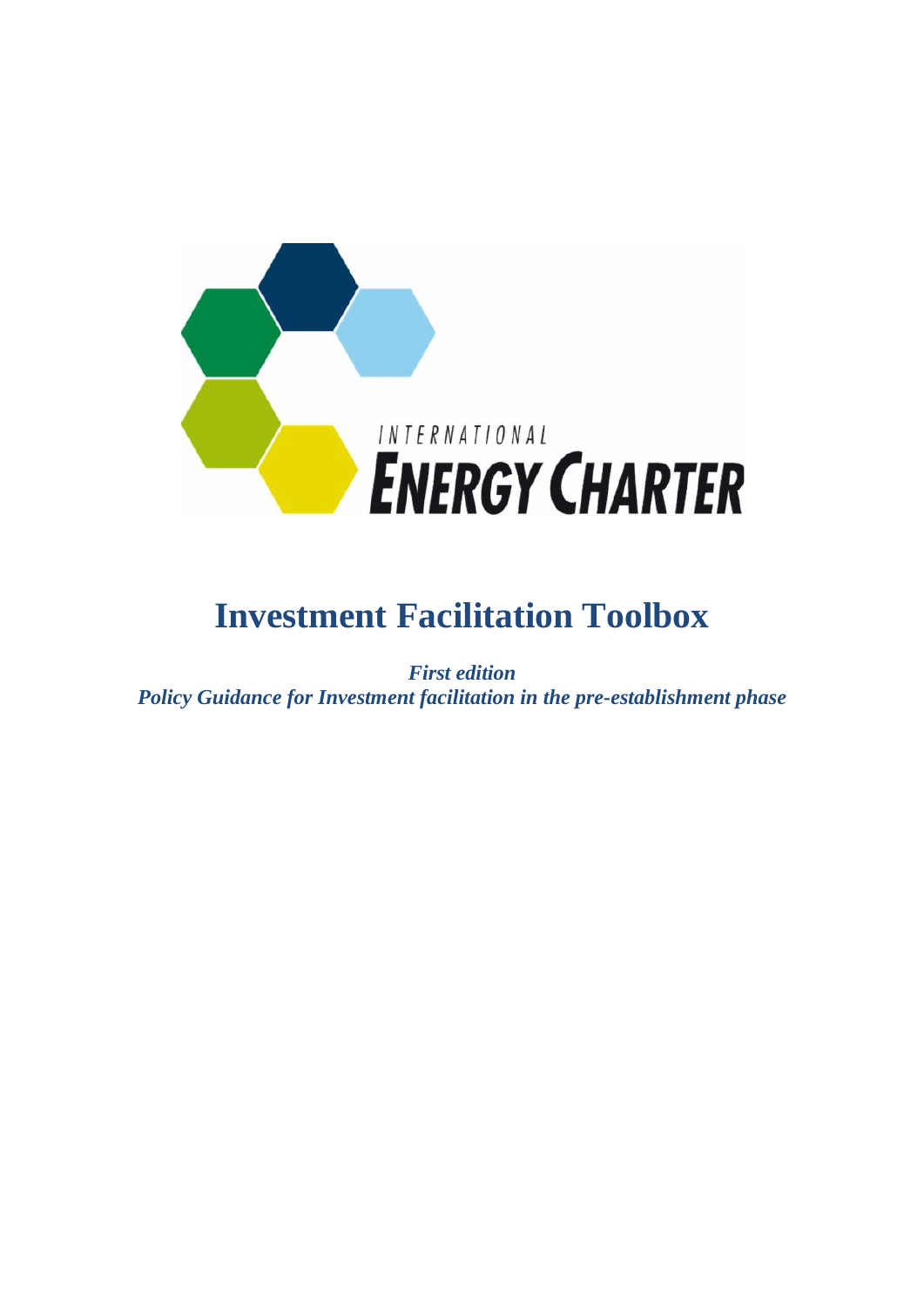

# **Investment Facilitation Toolbox**

*First edition Policy Guidance for Investment facilitation in the pre-establishment phase*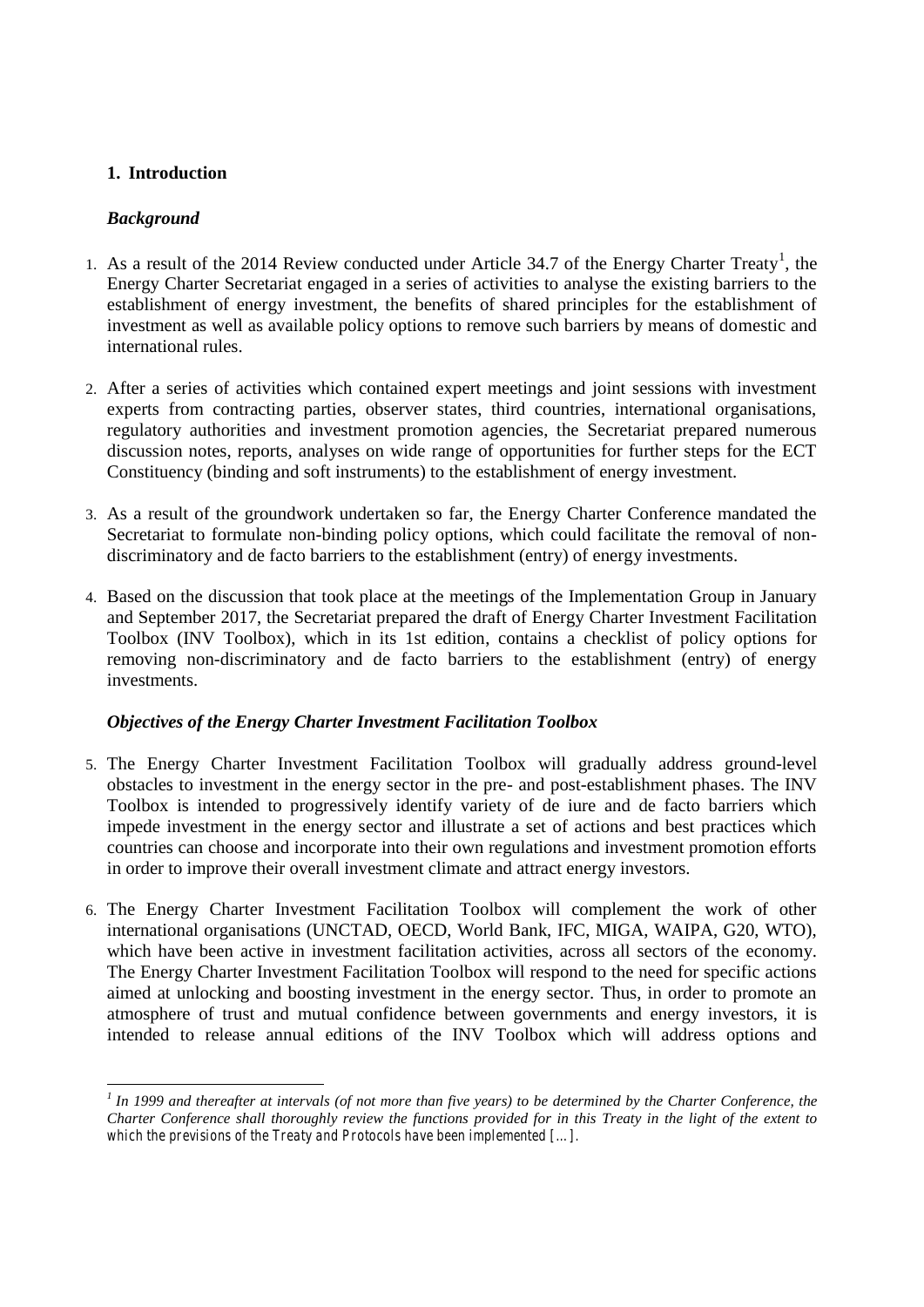#### **1. Introduction**

#### *Background*

- 1. As a result of the 2014 Review conducted under Article 34.7 of the Energy Charter Treaty<sup>1</sup>, the Energy Charter Secretariat engaged in a series of activities to analyse the existing barriers to the establishment of energy investment, the benefits of shared principles for the establishment of investment as well as available policy options to remove such barriers by means of domestic and international rules.
- 2. After a series of activities which contained expert meetings and joint sessions with investment experts from contracting parties, observer states, third countries, international organisations, regulatory authorities and investment promotion agencies, the Secretariat prepared numerous discussion notes, reports, analyses on wide range of opportunities for further steps for the ECT Constituency (binding and soft instruments) to the establishment of energy investment.
- 3. As a result of the groundwork undertaken so far, the Energy Charter Conference mandated the Secretariat to formulate non-binding policy options, which could facilitate the removal of nondiscriminatory and de facto barriers to the establishment (entry) of energy investments.
- 4. Based on the discussion that took place at the meetings of the Implementation Group in January and September 2017, the Secretariat prepared the draft of Energy Charter Investment Facilitation Toolbox (INV Toolbox), which in its 1st edition, contains a checklist of policy options for removing non-discriminatory and de facto barriers to the establishment (entry) of energy investments.

#### *Objectives of the Energy Charter Investment Facilitation Toolbox*

- 5. The Energy Charter Investment Facilitation Toolbox will gradually address ground-level obstacles to investment in the energy sector in the pre- and post-establishment phases. The INV Toolbox is intended to progressively identify variety of de iure and de facto barriers which impede investment in the energy sector and illustrate a set of actions and best practices which countries can choose and incorporate into their own regulations and investment promotion efforts in order to improve their overall investment climate and attract energy investors.
- 6. The Energy Charter Investment Facilitation Toolbox will complement the work of other international organisations (UNCTAD, OECD, World Bank, IFC, MIGA, WAIPA, G20, WTO), which have been active in investment facilitation activities, across all sectors of the economy. The Energy Charter Investment Facilitation Toolbox will respond to the need for specific actions aimed at unlocking and boosting investment in the energy sector. Thus, in order to promote an atmosphere of trust and mutual confidence between governments and energy investors, it is intended to release annual editions of the INV Toolbox which will address options and

*<sup>1</sup> In 1999 and thereafter at intervals (of not more than five years) to be determined by the Charter Conference, the Charter Conference shall thoroughly review the functions provided for in this Treaty in the light of the extent to which the previsions of the Treaty and Protocols have been implemented […].*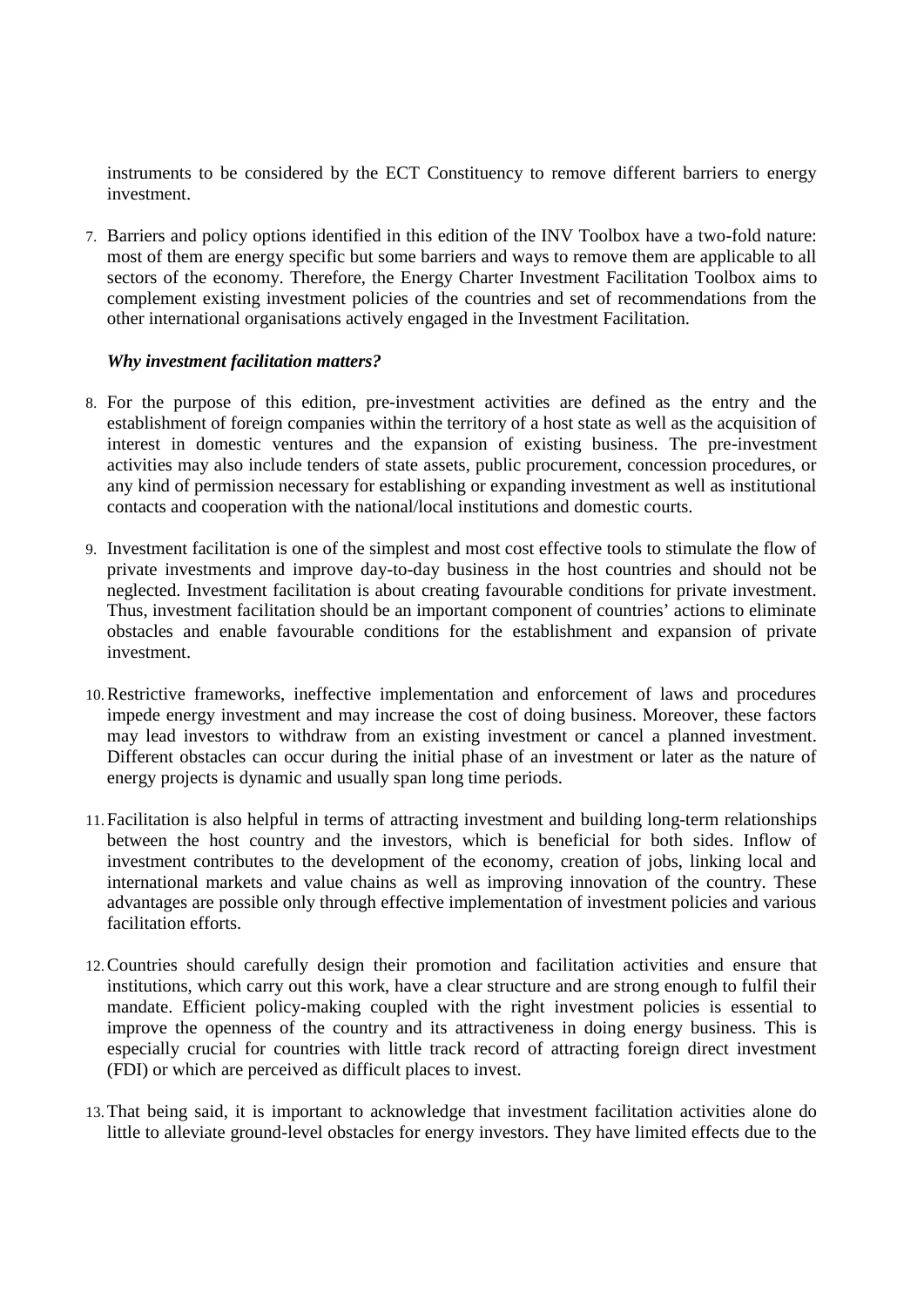instruments to be considered by the ECT Constituency to remove different barriers to energy investment.

7. Barriers and policy options identified in this edition of the INV Toolbox have a two-fold nature: most of them are energy specific but some barriers and ways to remove them are applicable to all sectors of the economy. Therefore, the Energy Charter Investment Facilitation Toolbox aims to complement existing investment policies of the countries and set of recommendations from the other international organisations actively engaged in the Investment Facilitation.

#### *Why investment facilitation matters?*

- 8. For the purpose of this edition, pre-investment activities are defined as the entry and the establishment of foreign companies within the territory of a host state as well as the acquisition of interest in domestic ventures and the expansion of existing business. The pre-investment activities may also include tenders of state assets, public procurement, concession procedures, or any kind of permission necessary for establishing or expanding investment as well as institutional contacts and cooperation with the national/local institutions and domestic courts.
- 9. Investment facilitation is one of the simplest and most cost effective tools to stimulate the flow of private investments and improve day-to-day business in the host countries and should not be neglected. Investment facilitation is about creating favourable conditions for private investment. Thus, investment facilitation should be an important component of countries' actions to eliminate obstacles and enable favourable conditions for the establishment and expansion of private investment.
- 10.Restrictive frameworks, ineffective implementation and enforcement of laws and procedures impede energy investment and may increase the cost of doing business. Moreover, these factors may lead investors to withdraw from an existing investment or cancel a planned investment. Different obstacles can occur during the initial phase of an investment or later as the nature of energy projects is dynamic and usually span long time periods.
- 11.Facilitation is also helpful in terms of attracting investment and building long-term relationships between the host country and the investors, which is beneficial for both sides. Inflow of investment contributes to the development of the economy, creation of jobs, linking local and international markets and value chains as well as improving innovation of the country. These advantages are possible only through effective implementation of investment policies and various facilitation efforts.
- 12.Countries should carefully design their promotion and facilitation activities and ensure that institutions, which carry out this work, have a clear structure and are strong enough to fulfil their mandate. Efficient policy-making coupled with the right investment policies is essential to improve the openness of the country and its attractiveness in doing energy business. This is especially crucial for countries with little track record of attracting foreign direct investment (FDI) or which are perceived as difficult places to invest.
- 13.That being said, it is important to acknowledge that investment facilitation activities alone do little to alleviate ground-level obstacles for energy investors. They have limited effects due to the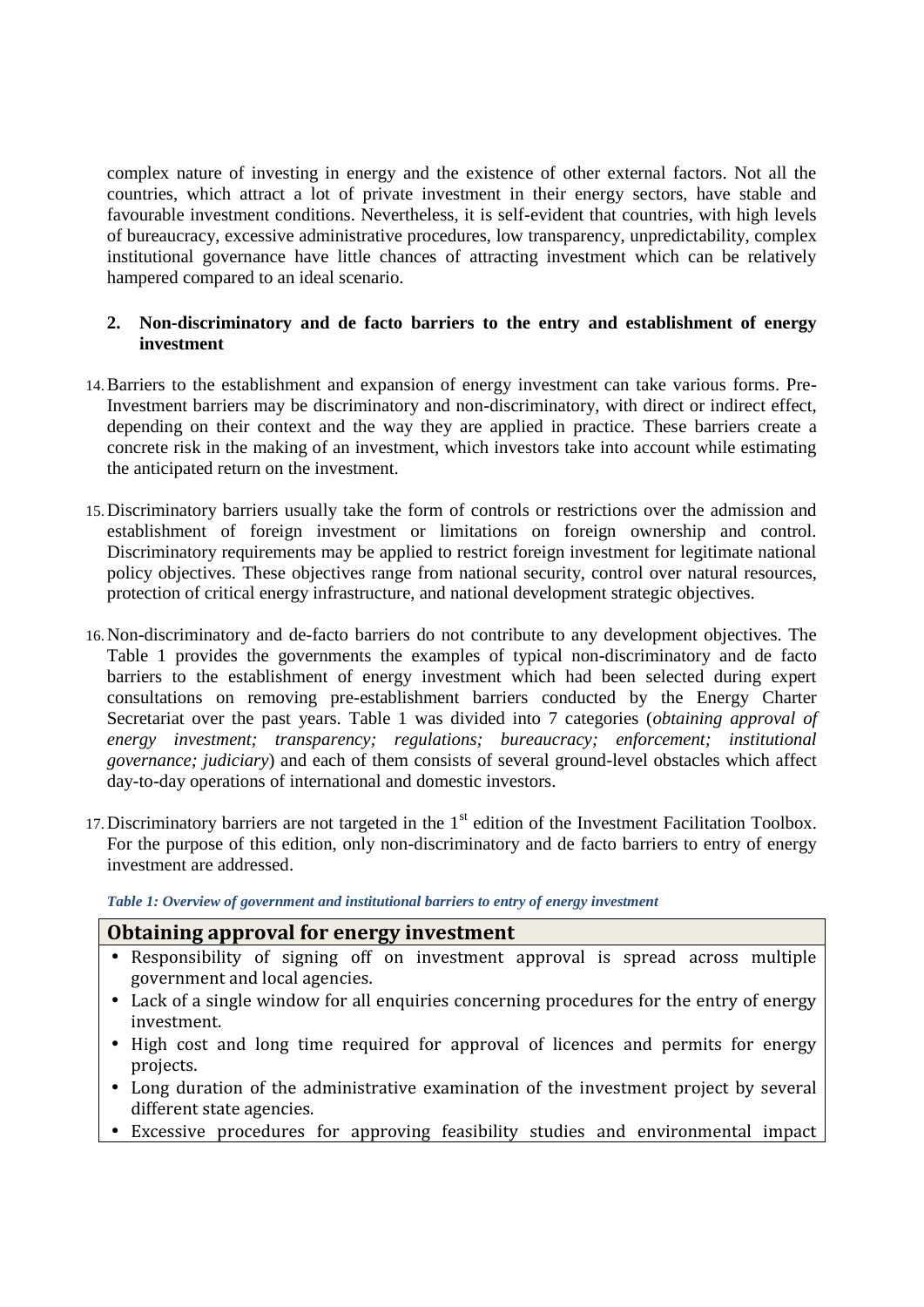complex nature of investing in energy and the existence of other external factors. Not all the countries, which attract a lot of private investment in their energy sectors, have stable and favourable investment conditions. Nevertheless, it is self-evident that countries, with high levels of bureaucracy, excessive administrative procedures, low transparency, unpredictability, complex institutional governance have little chances of attracting investment which can be relatively hampered compared to an ideal scenario.

#### **2. Non-discriminatory and de facto barriers to the entry and establishment of energy investment**

- 14.Barriers to the establishment and expansion of energy investment can take various forms. Pre-Investment barriers may be discriminatory and non-discriminatory, with direct or indirect effect, depending on their context and the way they are applied in practice. These barriers create a concrete risk in the making of an investment, which investors take into account while estimating the anticipated return on the investment.
- 15.Discriminatory barriers usually take the form of controls or restrictions over the admission and establishment of foreign investment or limitations on foreign ownership and control. Discriminatory requirements may be applied to restrict foreign investment for legitimate national policy objectives. These objectives range from national security, control over natural resources, protection of critical energy infrastructure, and national development strategic objectives.
- 16.Non-discriminatory and de-facto barriers do not contribute to any development objectives. The Table 1 provides the governments the examples of typical non-discriminatory and de facto barriers to the establishment of energy investment which had been selected during expert consultations on removing pre-establishment barriers conducted by the Energy Charter Secretariat over the past years. Table 1 was divided into 7 categories (*obtaining approval of energy investment; transparency; regulations; bureaucracy; enforcement; institutional governance; judiciary*) and each of them consists of several ground-level obstacles which affect day-to-day operations of international and domestic investors.
- 17. Discriminatory barriers are not targeted in the  $1<sup>st</sup>$  edition of the Investment Facilitation Toolbox. For the purpose of this edition, only non-discriminatory and de facto barriers to entry of energy investment are addressed.

*Table 1: Overview of government and institutional barriers to entry of energy investment*

#### **Obtaining approval for energy investment**

- Responsibility of signing off on investment approval is spread across multiple government and local agencies.
- Lack of a single window for all enquiries concerning procedures for the entry of energy investment.
- High cost and long time required for approval of licences and permits for energy projects.
- Long duration of the administrative examination of the investment project by several different state agencies.
- Excessive procedures for approving feasibility studies and environmental impact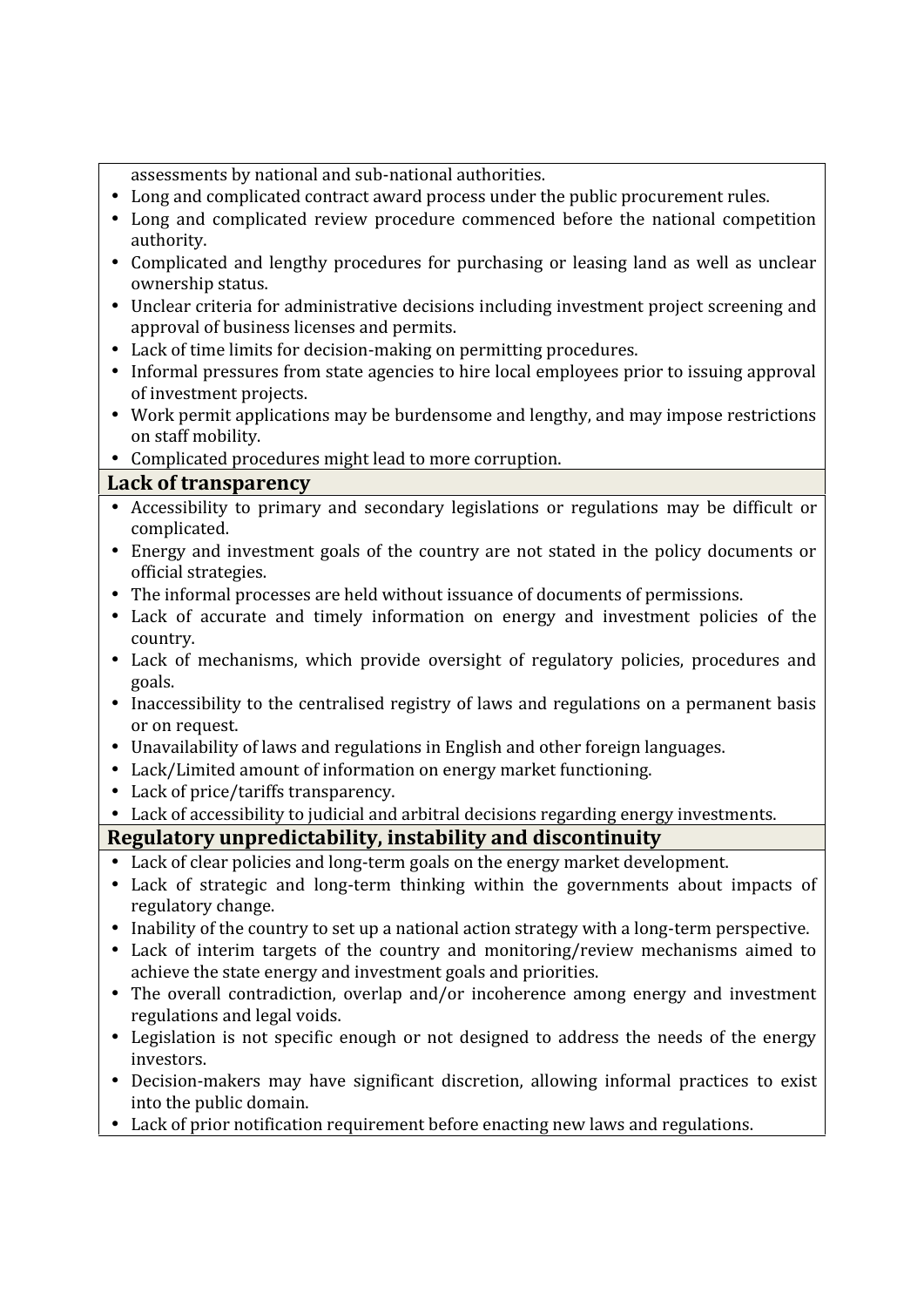|                             | assessments by national and sub-national authorities.                                                                                                            |  |
|-----------------------------|------------------------------------------------------------------------------------------------------------------------------------------------------------------|--|
|                             | Long and complicated contract award process under the public procurement rules.                                                                                  |  |
|                             | Long and complicated review procedure commenced before the national competition                                                                                  |  |
|                             | authority.                                                                                                                                                       |  |
|                             | Complicated and lengthy procedures for purchasing or leasing land as well as unclear<br>ownership status.                                                        |  |
|                             | Unclear criteria for administrative decisions including investment project screening and                                                                         |  |
|                             | approval of business licenses and permits.                                                                                                                       |  |
|                             | Lack of time limits for decision-making on permitting procedures.                                                                                                |  |
|                             | Informal pressures from state agencies to hire local employees prior to issuing approval                                                                         |  |
|                             | of investment projects.                                                                                                                                          |  |
|                             | Work permit applications may be burdensome and lengthy, and may impose restrictions<br>on staff mobility.                                                        |  |
|                             | Complicated procedures might lead to more corruption.                                                                                                            |  |
| <b>Lack of transparency</b> |                                                                                                                                                                  |  |
|                             | Accessibility to primary and secondary legislations or regulations may be difficult or<br>complicated.                                                           |  |
|                             | Energy and investment goals of the country are not stated in the policy documents or<br>official strategies.                                                     |  |
|                             | The informal processes are held without issuance of documents of permissions.                                                                                    |  |
|                             | Lack of accurate and timely information on energy and investment policies of the                                                                                 |  |
|                             | country.                                                                                                                                                         |  |
|                             | Lack of mechanisms, which provide oversight of regulatory policies, procedures and                                                                               |  |
|                             | goals.                                                                                                                                                           |  |
|                             | Inaccessibility to the centralised registry of laws and regulations on a permanent basis<br>or on request.                                                       |  |
|                             | Unavailability of laws and regulations in English and other foreign languages.                                                                                   |  |
|                             | Lack/Limited amount of information on energy market functioning.                                                                                                 |  |
|                             | Lack of price/tariffs transparency.                                                                                                                              |  |
|                             | Lack of accessibility to judicial and arbitral decisions regarding energy investments.                                                                           |  |
|                             | Regulatory unpredictability, instability and discontinuity                                                                                                       |  |
|                             | Lack of clear policies and long-term goals on the energy market development.<br>Lack of strategic and long-term thinking within the governments about impacts of |  |
|                             | regulatory change.                                                                                                                                               |  |
|                             | Inability of the country to set up a national action strategy with a long-term perspective.                                                                      |  |
|                             | Lack of interim targets of the country and monitoring/review mechanisms aimed to<br>achieve the state energy and investment goals and priorities.                |  |
|                             | The overall contradiction, overlap and/or incoherence among energy and investment                                                                                |  |
|                             | regulations and legal voids.                                                                                                                                     |  |
|                             | Legislation is not specific enough or not designed to address the needs of the energy<br>investors.                                                              |  |
|                             | Decision-makers may have significant discretion, allowing informal practices to exist                                                                            |  |
|                             | into the public domain.                                                                                                                                          |  |
|                             | Lack of prior notification requirement before enacting new laws and regulations.                                                                                 |  |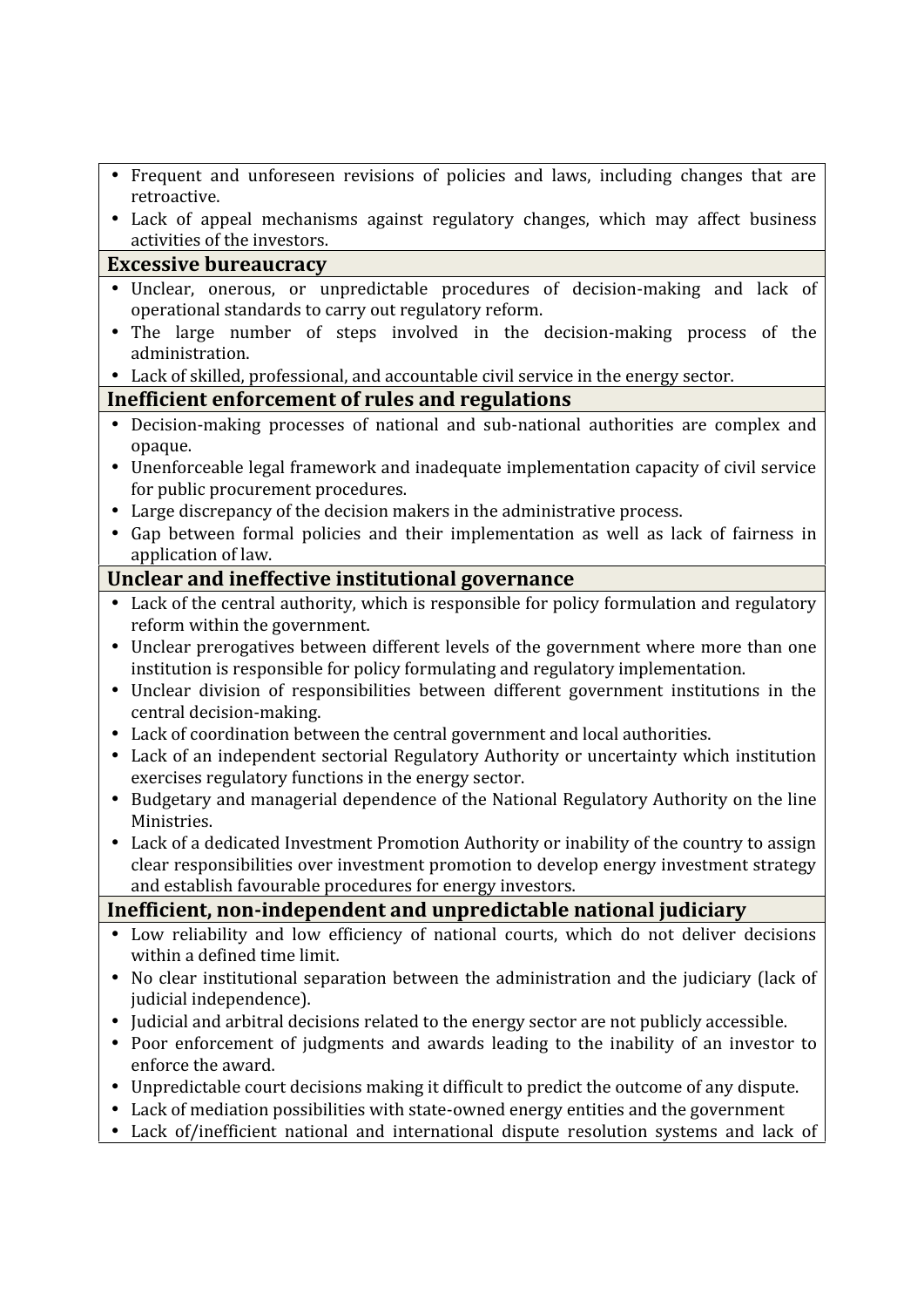|                                                                                           | Frequent and unforeseen revisions of policies and laws, including changes that are                                                                                   |  |
|-------------------------------------------------------------------------------------------|----------------------------------------------------------------------------------------------------------------------------------------------------------------------|--|
|                                                                                           | retroactive.<br>Lack of appeal mechanisms against regulatory changes, which may affect business                                                                      |  |
|                                                                                           | activities of the investors.                                                                                                                                         |  |
| <b>Excessive bureaucracy</b>                                                              |                                                                                                                                                                      |  |
|                                                                                           | Unclear, onerous, or unpredictable procedures of decision-making and lack of                                                                                         |  |
|                                                                                           | operational standards to carry out regulatory reform.                                                                                                                |  |
|                                                                                           | The large number of steps involved in the decision-making process of the<br>administration.                                                                          |  |
|                                                                                           | Lack of skilled, professional, and accountable civil service in the energy sector.                                                                                   |  |
| Inefficient enforcement of rules and regulations                                          |                                                                                                                                                                      |  |
|                                                                                           | Decision-making processes of national and sub-national authorities are complex and                                                                                   |  |
|                                                                                           | opaque.                                                                                                                                                              |  |
|                                                                                           | Unenforceable legal framework and inadequate implementation capacity of civil service                                                                                |  |
|                                                                                           | for public procurement procedures.                                                                                                                                   |  |
|                                                                                           | Large discrepancy of the decision makers in the administrative process.                                                                                              |  |
|                                                                                           | Gap between formal policies and their implementation as well as lack of fairness in<br>application of law.                                                           |  |
|                                                                                           | Unclear and ineffective institutional governance                                                                                                                     |  |
| Lack of the central authority, which is responsible for policy formulation and regulatory |                                                                                                                                                                      |  |
|                                                                                           | reform within the government.                                                                                                                                        |  |
|                                                                                           | Unclear prerogatives between different levels of the government where more than one                                                                                  |  |
|                                                                                           | institution is responsible for policy formulating and regulatory implementation.                                                                                     |  |
|                                                                                           | Unclear division of responsibilities between different government institutions in the                                                                                |  |
|                                                                                           | central decision-making.                                                                                                                                             |  |
|                                                                                           | Lack of coordination between the central government and local authorities.<br>Lack of an independent sectorial Regulatory Authority or uncertainty which institution |  |
|                                                                                           | exercises regulatory functions in the energy sector.                                                                                                                 |  |
|                                                                                           | Budgetary and managerial dependence of the National Regulatory Authority on the line                                                                                 |  |
|                                                                                           | Ministries.                                                                                                                                                          |  |
|                                                                                           | Lack of a dedicated Investment Promotion Authority or inability of the country to assign                                                                             |  |
|                                                                                           | clear responsibilities over investment promotion to develop energy investment strategy                                                                               |  |
|                                                                                           | and establish favourable procedures for energy investors.                                                                                                            |  |
|                                                                                           | Inefficient, non-independent and unpredictable national judiciary                                                                                                    |  |
|                                                                                           | Low reliability and low efficiency of national courts, which do not deliver decisions<br>within a defined time limit.                                                |  |
|                                                                                           | No clear institutional separation between the administration and the judiciary (lack of<br>judicial independence).                                                   |  |
|                                                                                           | Judicial and arbitral decisions related to the energy sector are not publicly accessible.                                                                            |  |
|                                                                                           | Poor enforcement of judgments and awards leading to the inability of an investor to<br>enforce the award.                                                            |  |
|                                                                                           | Unpredictable court decisions making it difficult to predict the outcome of any dispute.                                                                             |  |
|                                                                                           | Lack of mediation possibilities with state-owned energy entities and the government                                                                                  |  |
|                                                                                           | Lack of/inefficient national and international dispute resolution systems and lack of                                                                                |  |
|                                                                                           |                                                                                                                                                                      |  |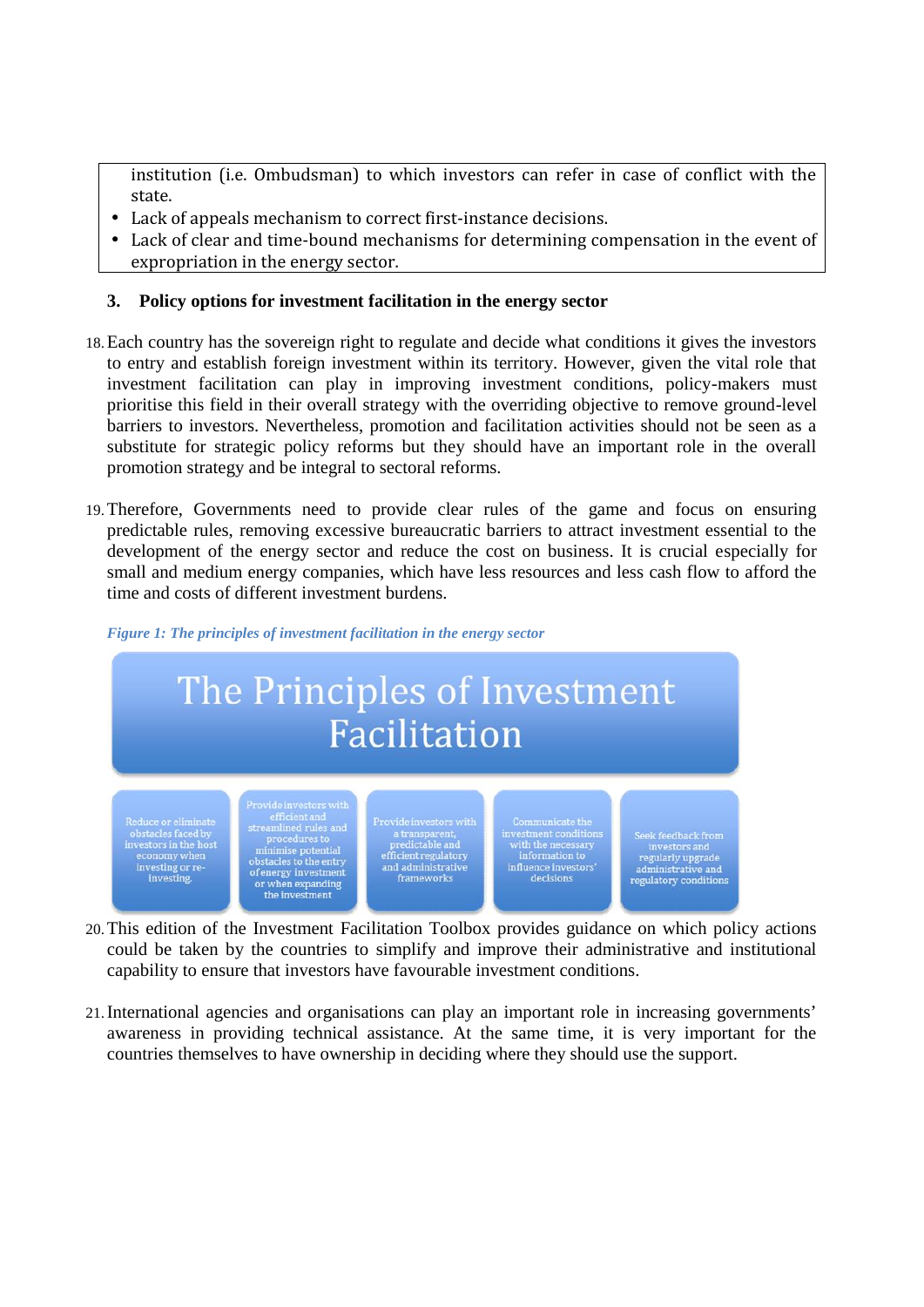institution (i.e. Ombudsman) to which investors can refer in case of conflict with the state.

- Lack of appeals mechanism to correct first-instance decisions.
- Lack of clear and time-bound mechanisms for determining compensation in the event of expropriation in the energy sector.

#### **3. Policy options for investment facilitation in the energy sector**

- 18.Each country has the sovereign right to regulate and decide what conditions it gives the investors to entry and establish foreign investment within its territory. However, given the vital role that investment facilitation can play in improving investment conditions, policy-makers must prioritise this field in their overall strategy with the overriding objective to remove ground-level barriers to investors. Nevertheless, promotion and facilitation activities should not be seen as a substitute for strategic policy reforms but they should have an important role in the overall promotion strategy and be integral to sectoral reforms.
- 19.Therefore, Governments need to provide clear rules of the game and focus on ensuring predictable rules, removing excessive bureaucratic barriers to attract investment essential to the development of the energy sector and reduce the cost on business. It is crucial especially for small and medium energy companies, which have less resources and less cash flow to afford the time and costs of different investment burdens.



*Figure 1: The principles of investment facilitation in the energy sector*

- 20.This edition of the Investment Facilitation Toolbox provides guidance on which policy actions could be taken by the countries to simplify and improve their administrative and institutional capability to ensure that investors have favourable investment conditions.
- 21.International agencies and organisations can play an important role in increasing governments' awareness in providing technical assistance. At the same time, it is very important for the countries themselves to have ownership in deciding where they should use the support.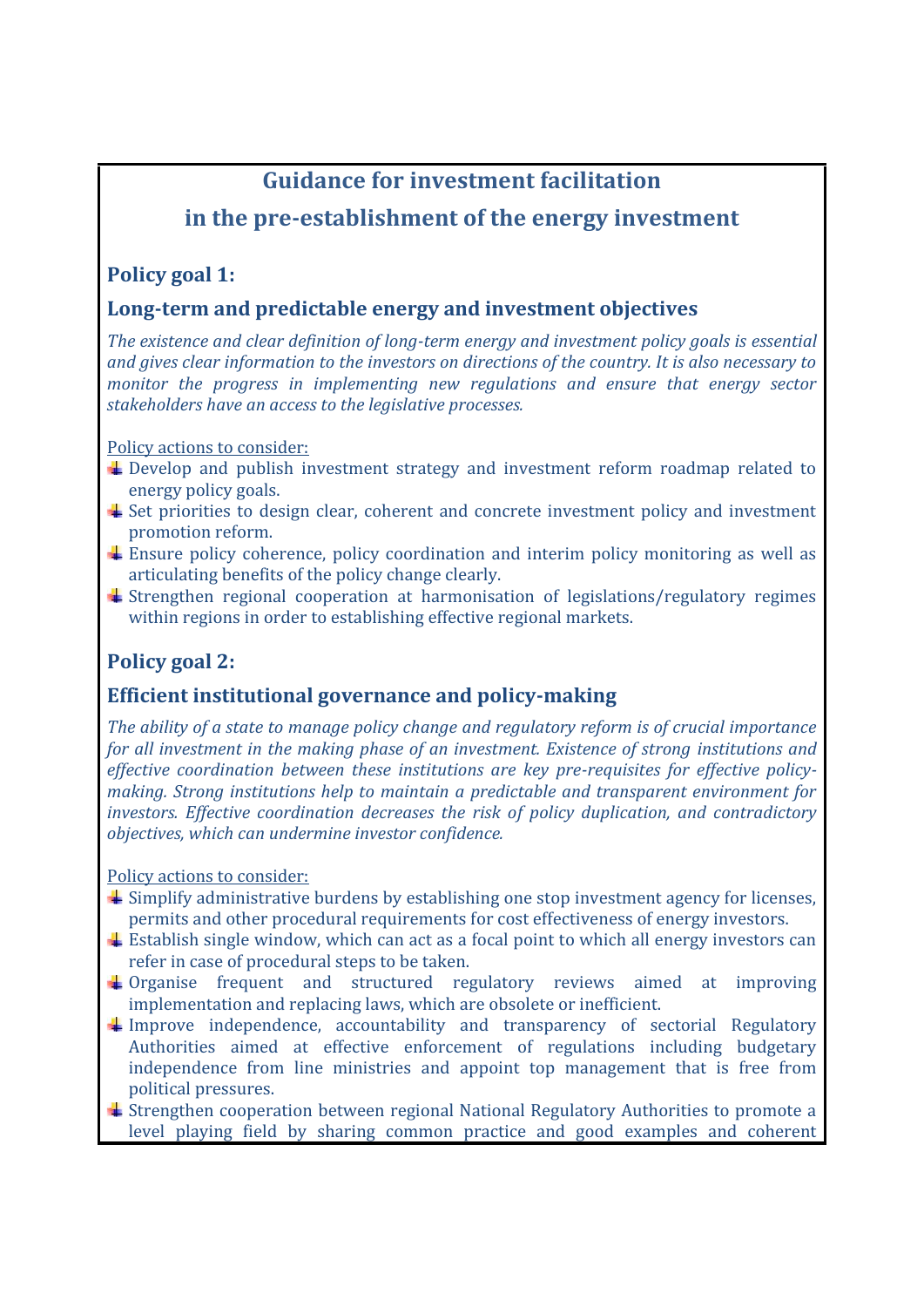# **Guidance for investment facilitation**

## **in the pre-establishment of the energy investment**

## **Policy goal 1:**

## **Long-term and predictable energy and investment objectives**

*The existence and clear definition of long-term energy and investment policy goals is essential and gives clear information to the investors on directions of the country. It is also necessary to monitor the progress in implementing new regulations and ensure that energy sector stakeholders have an access to the legislative processes.*

Policy actions to consider:

- Develop and publish investment strategy and investment reform roadmap related to energy policy goals.
- $\overline{\phantom{a}}$  Set priorities to design clear, coherent and concrete investment policy and investment promotion reform.
- $\pm$  Ensure policy coherence, policy coordination and interim policy monitoring as well as articulating benefits of the policy change clearly.
- $\pm$  Strengthen regional cooperation at harmonisation of legislations/regulatory regimes within regions in order to establishing effective regional markets.

## **Policy goal 2:**

## **Efficient institutional governance and policy-making**

*The ability of a state to manage policy change and regulatory reform is of crucial importance for all investment in the making phase of an investment. Existence of strong institutions and effective coordination between these institutions are key pre-requisites for effective policy making. Strong institutions help to maintain a predictable and transparent environment for investors. Effective coordination decreases the risk of policy duplication, and contradictory objectives, which can undermine investor confidence.*

- $\pm$  Simplify administrative burdens by establishing one stop investment agency for licenses, permits and other procedural requirements for cost effectiveness of energy investors.
- $\pm$  Establish single window, which can act as a focal point to which all energy investors can refer in case of procedural steps to be taken.
- $\downarrow$  Organise frequent and structured regulatory reviews aimed at improving implementation and replacing laws, which are obsolete or inefficient.
- $\ddot{+}$  Improve independence, accountability and transparency of sectorial Regulatory Authorities aimed at effective enforcement of regulations including budgetary independence from line ministries and appoint top management that is free from political pressures.
- $\pm$  Strengthen cooperation between regional National Regulatory Authorities to promote a level playing field by sharing common practice and good examples and coherent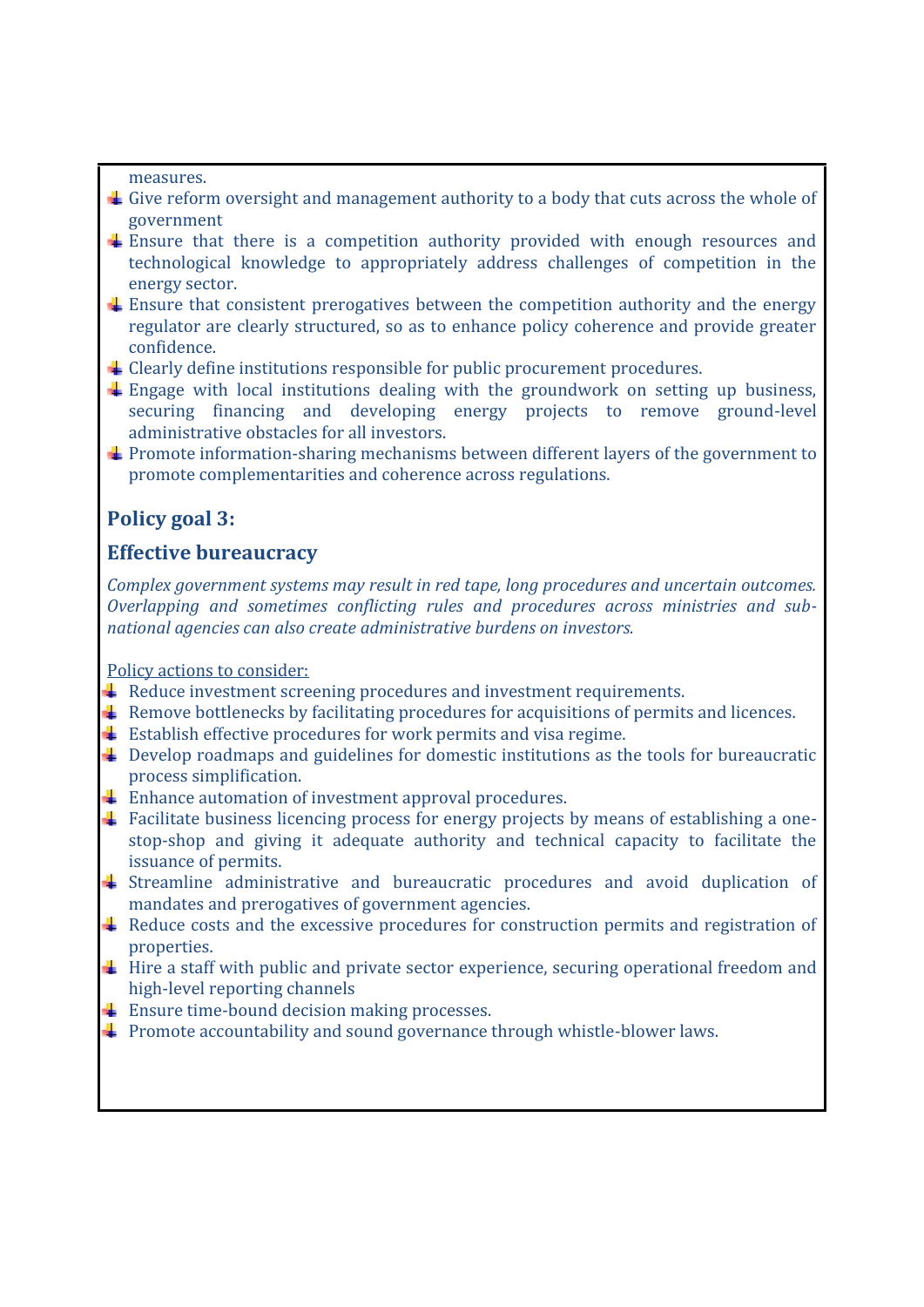measures.

- Give reform oversight and management authority to a body that cuts across the whole of government
- Ensure that there is a competition authority provided with enough resources and technological knowledge to appropriately address challenges of competition in the energy sector.
- Ensure that consistent prerogatives between the competition authority and the energy regulator are clearly structured, so as to enhance policy coherence and provide greater confidence.
- $\pm$  Clearly define institutions responsible for public procurement procedures.
- $\pm$  Engage with local institutions dealing with the groundwork on setting up business, securing financing and developing energy projects to remove ground-level administrative obstacles for all investors.
- Promote information-sharing mechanisms between different layers of the government to promote complementarities and coherence across regulations.

## **Policy goal 3:**

#### **Effective bureaucracy**

*Complex government systems may result in red tape, long procedures and uncertain outcomes. Overlapping and sometimes conflicting rules and procedures across ministries and sub national agencies can also create administrative burdens on investors.*

- $\ddot{\bullet}$  Reduce investment screening procedures and investment requirements.
- **E** Remove bottlenecks by facilitating procedures for acquisitions of permits and licences.
- $\overline{\phantom{a}}$  Establish effective procedures for work permits and visa regime.
- Develop roadmaps and guidelines for domestic institutions as the tools for bureaucratic process simplification.
- Enhance automation of investment approval procedures.
- Facilitate business licencing process for energy projects by means of establishing a onestop-shop and giving it adequate authority and technical capacity to facilitate the issuance of permits.
- Streamline administrative and bureaucratic procedures and avoid duplication of mandates and prerogatives of government agencies.
- Reduce costs and the excessive procedures for construction permits and registration of properties.
- Hire a staff with public and private sector experience, securing operational freedom and high-level reporting channels
- $\text{■}$  Ensure time-bound decision making processes.
- $\ddagger$  Promote accountability and sound governance through whistle-blower laws.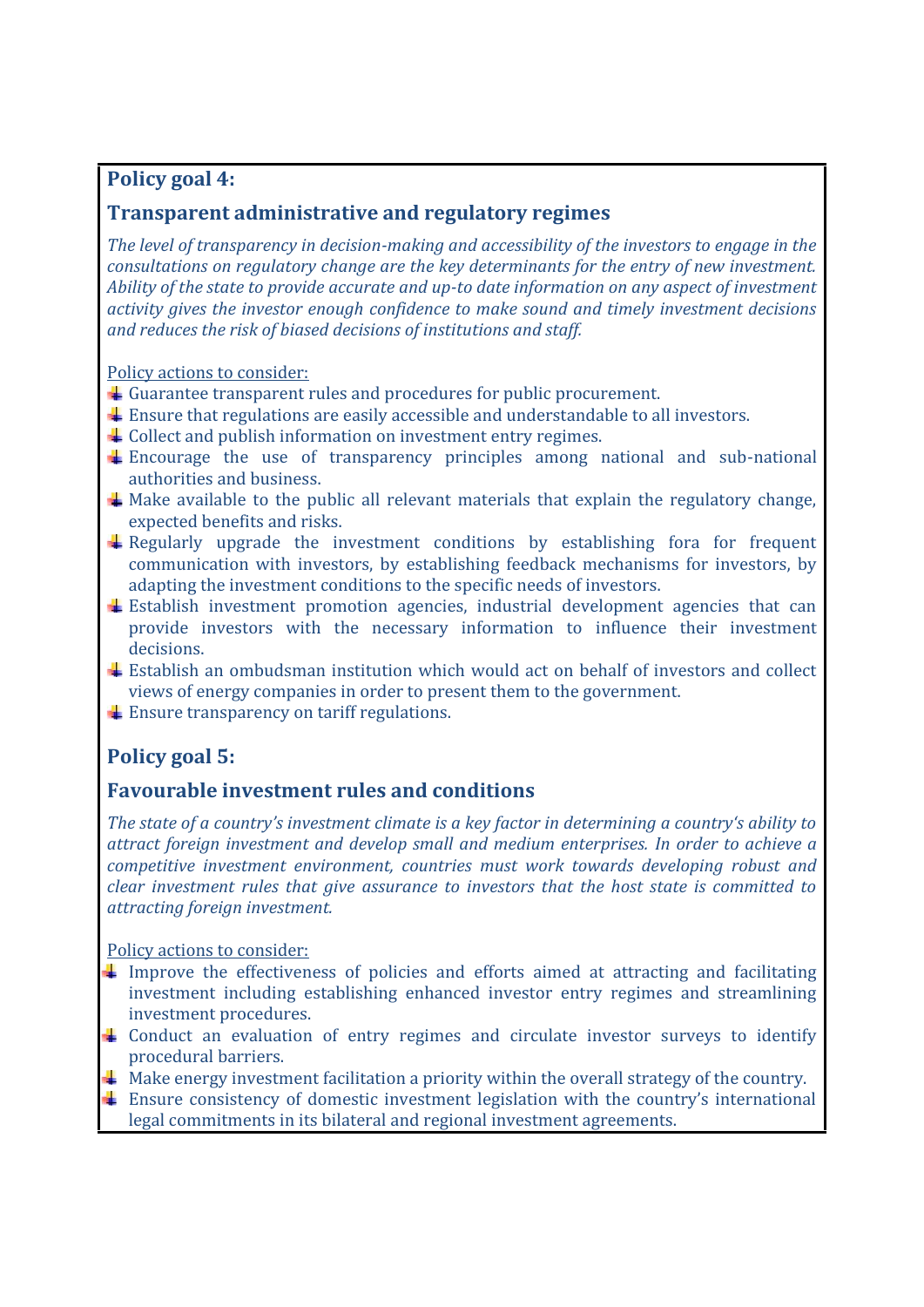## **Policy goal 4:**

## **Transparent administrative and regulatory regimes**

*The level of transparency in decision-making and accessibility of the investors to engage in the consultations on regulatory change are the key determinants for the entry of new investment. Ability of the state to provide accurate and up-to date information on any aspect of investment activity gives the investor enough confidence to make sound and timely investment decisions and reduces the risk of biased decisions of institutions and staff.*

#### Policy actions to consider:

- $\overline{\phantom{a}}$  Guarantee transparent rules and procedures for public procurement.
- Ensure that regulations are easily accessible and understandable to all investors.
- $\triangle$  Collect and publish information on investment entry regimes.
- Encourage the use of transparency principles among national and sub-national authorities and business.
- Make available to the public all relevant materials that explain the regulatory change, expected benefits and risks.
- $\overline{a}$  Regularly upgrade the investment conditions by establishing fora for frequent communication with investors, by establishing feedback mechanisms for investors, by adapting the investment conditions to the specific needs of investors.
- $\pm$  Establish investment promotion agencies, industrial development agencies that can provide investors with the necessary information to influence their investment decisions.
- Establish an ombudsman institution which would act on behalf of investors and collect views of energy companies in order to present them to the government.
- $\overline{\phantom{a}}$  Ensure transparency on tariff regulations.

## **Policy goal 5:**

#### **Favourable investment rules and conditions**

*The state of a country's investment climate is a key factor in determining a country's ability to attract foreign investment and develop small and medium enterprises. In order to achieve a competitive investment environment, countries must work towards developing robust and clear investment rules that give assurance to investors that the host state is committed to attracting foreign investment.*

- Improve the effectiveness of policies and efforts aimed at attracting and facilitating investment including establishing enhanced investor entry regimes and streamlining investment procedures.
- Conduct an evaluation of entry regimes and circulate investor surveys to identify procedural barriers.
- $\ddot{\phantom{a}}$  Make energy investment facilitation a priority within the overall strategy of the country.
- Ensure consistency of domestic investment legislation with the country's international legal commitments in its bilateral and regional investment agreements.